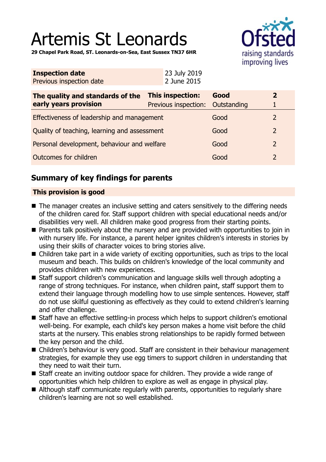# Artemis St Leonards



**29 Chapel Park Road, ST. Leonards-on-Sea, East Sussex TN37 6HR**

| <b>Inspection date</b><br>Previous inspection date        | 23 July 2019<br>2 June 2015                          |      |                |
|-----------------------------------------------------------|------------------------------------------------------|------|----------------|
| The quality and standards of the<br>early years provision | This inspection:<br>Previous inspection: Outstanding | Good | $\mathbf{2}$   |
| Effectiveness of leadership and management                |                                                      | Good | 2              |
| Quality of teaching, learning and assessment              |                                                      | Good | 2              |
| Personal development, behaviour and welfare               |                                                      | Good | $\overline{2}$ |
| Outcomes for children                                     |                                                      | Good | 2              |
|                                                           |                                                      |      |                |

## **Summary of key findings for parents**

## **This provision is good**

- The manager creates an inclusive setting and caters sensitively to the differing needs of the children cared for. Staff support children with special educational needs and/or disabilities very well. All children make good progress from their starting points.
- Parents talk positively about the nursery and are provided with opportunities to join in with nursery life. For instance, a parent helper ignites children's interests in stories by using their skills of character voices to bring stories alive.
- $\blacksquare$  Children take part in a wide variety of exciting opportunities, such as trips to the local museum and beach. This builds on children's knowledge of the local community and provides children with new experiences.
- Staff support children's communication and language skills well through adopting a range of strong techniques. For instance, when children paint, staff support them to extend their language through modelling how to use simple sentences. However, staff do not use skilful questioning as effectively as they could to extend children's learning and offer challenge.
- Staff have an effective settling-in process which helps to support children's emotional well-being. For example, each child's key person makes a home visit before the child starts at the nursery. This enables strong relationships to be rapidly formed between the key person and the child.
- Children's behaviour is very good. Staff are consistent in their behaviour management strategies, for example they use egg timers to support children in understanding that they need to wait their turn.
- Staff create an inviting outdoor space for children. They provide a wide range of opportunities which help children to explore as well as engage in physical play.
- Although staff communicate regularly with parents, opportunities to regularly share children's learning are not so well established.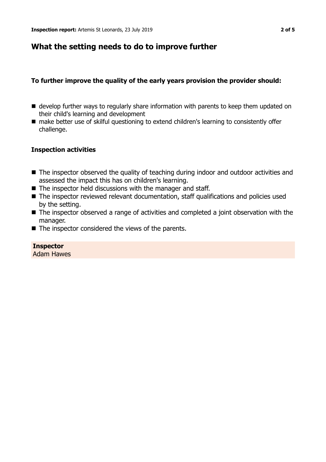## **What the setting needs to do to improve further**

## **To further improve the quality of the early years provision the provider should:**

- $\blacksquare$  develop further ways to regularly share information with parents to keep them updated on their child's learning and development
- make better use of skilful questioning to extend children's learning to consistently offer challenge.

#### **Inspection activities**

- The inspector observed the quality of teaching during indoor and outdoor activities and assessed the impact this has on children's learning.
- $\blacksquare$  The inspector held discussions with the manager and staff.
- $\blacksquare$  The inspector reviewed relevant documentation, staff qualifications and policies used by the setting.
- $\blacksquare$  The inspector observed a range of activities and completed a joint observation with the manager.
- $\blacksquare$  The inspector considered the views of the parents.

**Inspector** Adam Hawes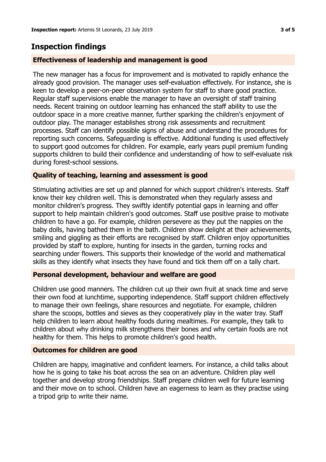## **Inspection findings**

## **Effectiveness of leadership and management is good**

The new manager has a focus for improvement and is motivated to rapidly enhance the already good provision. The manager uses self-evaluation effectively. For instance, she is keen to develop a peer-on-peer observation system for staff to share good practice. Regular staff supervisions enable the manager to have an oversight of staff training needs. Recent training on outdoor learning has enhanced the staff ability to use the outdoor space in a more creative manner, further sparking the children's enjoyment of outdoor play. The manager establishes strong risk assessments and recruitment processes. Staff can identify possible signs of abuse and understand the procedures for reporting such concerns. Safeguarding is effective. Additional funding is used effectively to support good outcomes for children. For example, early years pupil premium funding supports children to build their confidence and understanding of how to self-evaluate risk during forest-school sessions.

## **Quality of teaching, learning and assessment is good**

Stimulating activities are set up and planned for which support children's interests. Staff know their key children well. This is demonstrated when they regularly assess and monitor children's progress. They swiftly identify potential gaps in learning and offer support to help maintain children's good outcomes. Staff use positive praise to motivate children to have a go. For example, children persevere as they put the nappies on the baby dolls, having bathed them in the bath. Children show delight at their achievements, smiling and giggling as their efforts are recognised by staff. Children enjoy opportunities provided by staff to explore, hunting for insects in the garden, turning rocks and searching under flowers. This supports their knowledge of the world and mathematical skills as they identify what insects they have found and tick them off on a tally chart.

#### **Personal development, behaviour and welfare are good**

Children use good manners. The children cut up their own fruit at snack time and serve their own food at lunchtime, supporting independence. Staff support children effectively to manage their own feelings, share resources and negotiate. For example, children share the scoops, bottles and sieves as they cooperatively play in the water tray. Staff help children to learn about healthy foods during mealtimes. For example, they talk to children about why drinking milk strengthens their bones and why certain foods are not healthy for them. This helps to promote children's good health.

#### **Outcomes for children are good**

Children are happy, imaginative and confident learners. For instance, a child talks about how he is going to take his boat across the sea on an adventure. Children play well together and develop strong friendships. Staff prepare children well for future learning and their move on to school. Children have an eagerness to learn as they practise using a tripod grip to write their name.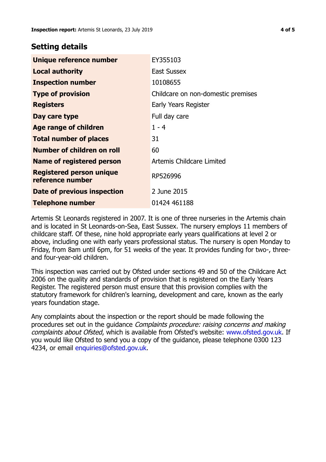## **Setting details**

| Unique reference number                             | EY355103                           |
|-----------------------------------------------------|------------------------------------|
| <b>Local authority</b>                              | <b>East Sussex</b>                 |
| <b>Inspection number</b>                            | 10108655                           |
| <b>Type of provision</b>                            | Childcare on non-domestic premises |
| <b>Registers</b>                                    | Early Years Register               |
| Day care type                                       | Full day care                      |
| <b>Age range of children</b>                        | $1 - 4$                            |
| <b>Total number of places</b>                       | 31                                 |
| Number of children on roll                          | 60                                 |
| <b>Name of registered person</b>                    | Artemis Childcare Limited          |
| <b>Registered person unique</b><br>reference number | RP526996                           |
| Date of previous inspection                         | 2 June 2015                        |
| <b>Telephone number</b>                             | 01424 461188                       |

Artemis St Leonards registered in 2007. It is one of three nurseries in the Artemis chain and is located in St Leonards-on-Sea, East Sussex. The nursery employs 11 members of childcare staff. Of these, nine hold appropriate early years qualifications at level 2 or above, including one with early years professional status. The nursery is open Monday to Friday, from 8am until 6pm, for 51 weeks of the year. It provides funding for two-, threeand four-year-old children.

This inspection was carried out by Ofsted under sections 49 and 50 of the Childcare Act 2006 on the quality and standards of provision that is registered on the Early Years Register. The registered person must ensure that this provision complies with the statutory framework for children's learning, development and care, known as the early years foundation stage.

Any complaints about the inspection or the report should be made following the procedures set out in the guidance Complaints procedure: raising concerns and making complaints about Ofsted, which is available from Ofsted's website: www.ofsted.gov.uk. If you would like Ofsted to send you a copy of the guidance, please telephone 0300 123 4234, or email [enquiries@ofsted.gov.uk.](mailto:enquiries@ofsted.gov.uk)